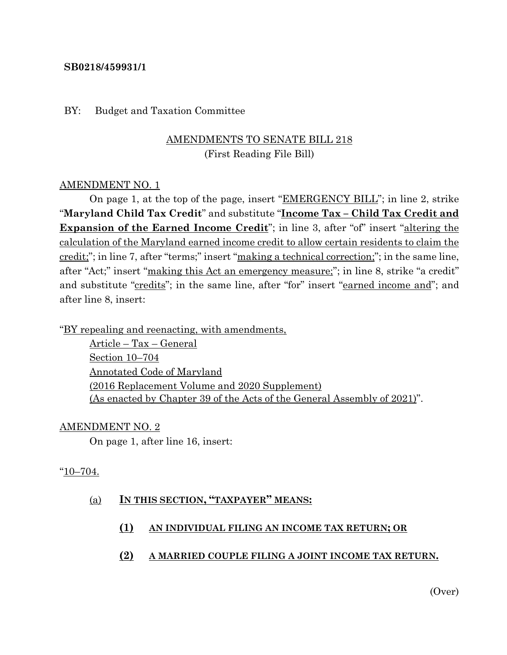#### **SB0218/459931/1**

#### BY: Budget and Taxation Committee

## AMENDMENTS TO SENATE BILL 218 (First Reading File Bill)

#### AMENDMENT NO. 1

On page 1, at the top of the page, insert "EMERGENCY BILL"; in line 2, strike "**Maryland Child Tax Credit**" and substitute "**Income Tax – Child Tax Credit and Expansion of the Earned Income Credit**"; in line 3, after "of" insert "altering the calculation of the Maryland earned income credit to allow certain residents to claim the credit;"; in line 7, after "terms;" insert "making a technical correction;"; in the same line, after "Act;" insert "making this Act an emergency measure;"; in line 8, strike "a credit" and substitute "credits"; in the same line, after "for" insert "earned income and"; and after line 8, insert:

"BY repealing and reenacting, with amendments,

Article – Tax – General Section 10–704 Annotated Code of Maryland (2016 Replacement Volume and 2020 Supplement) (As enacted by Chapter 39 of the Acts of the General Assembly of 2021)".

#### AMENDMENT NO. 2

On page 1, after line 16, insert:

#### "10–704.

#### (a) **IN THIS SECTION, "TAXPAYER" MEANS:**

**(1) AN INDIVIDUAL FILING AN INCOME TAX RETURN; OR**

#### **(2) A MARRIED COUPLE FILING A JOINT INCOME TAX RETURN.**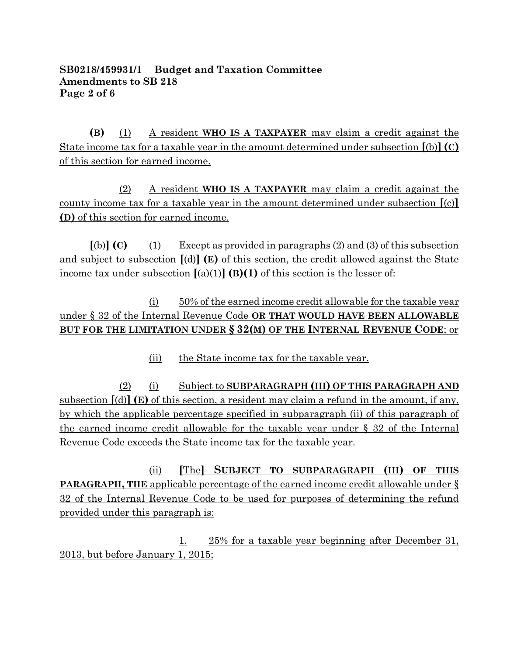## **SB0218/459931/1 Budget and Taxation Committee Amendments to SB 218 Page 2 of 6**

**(B)** (1) A resident **WHO IS A TAXPAYER** may claim a credit against the State income tax for a taxable year in the amount determined under subsection **[**(b)**](C)** of this section for earned income.

(2) A resident **WHO IS A TAXPAYER** may claim a credit against the county income tax for a taxable year in the amount determined under subsection **[**(c)**] (D)** of this section for earned income.

 $[(b)]$  **(C)** (1) Except as provided in paragraphs (2) and (3) of this subsection and subject to subsection **[**(d)**] (E)** of this section, the credit allowed against the State income tax under subsection  $[(a)(1)]$   $(B)(1)$  of this section is the lesser of:

(i) 50% of the earned income credit allowable for the taxable year under § 32 of the Internal Revenue Code **OR THAT WOULD HAVE BEEN ALLOWABLE BUT FOR THE LIMITATION UNDER § 32(M) OF THE INTERNAL REVENUE CODE**; or

(ii) the State income tax for the taxable year.

(2) (i) Subject to **SUBPARAGRAPH (III) OF THIS PARAGRAPH AND** subsection **[**(d)**] (E)** of this section, a resident may claim a refund in the amount, if any, by which the applicable percentage specified in subparagraph (ii) of this paragraph of the earned income credit allowable for the taxable year under § 32 of the Internal Revenue Code exceeds the State income tax for the taxable year.

(ii) **[**The**] SUBJECT TO SUBPARAGRAPH (III) OF THIS PARAGRAPH, THE** applicable percentage of the earned income credit allowable under § 32 of the Internal Revenue Code to be used for purposes of determining the refund provided under this paragraph is:

1. 25% for a taxable year beginning after December 31, 2013, but before January 1, 2015;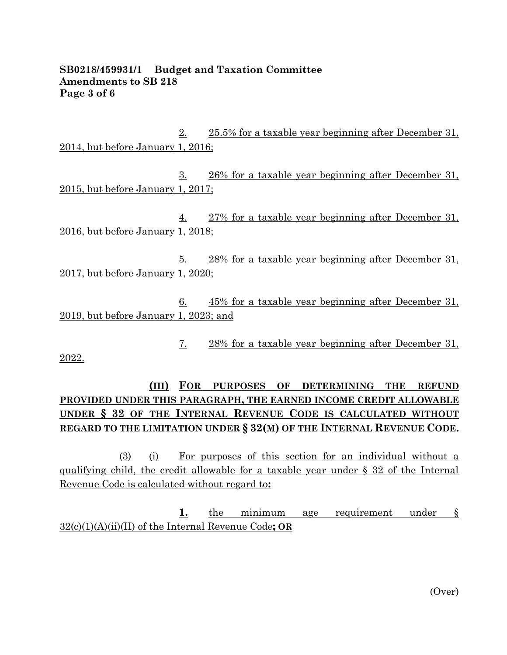### **SB0218/459931/1 Budget and Taxation Committee Amendments to SB 218 Page 3 of 6**

2. 25.5% for a taxable year beginning after December 31, 2014, but before January 1, 2016;

3. 26% for a taxable year beginning after December 31, 2015, but before January 1, 2017;

4. 27% for a taxable year beginning after December 31, 2016, but before January 1, 2018;

5. 28% for a taxable year beginning after December 31, 2017, but before January 1, 2020;

6. 45% for a taxable year beginning after December 31, 2019, but before January 1, 2023; and

7. 28% for a taxable year beginning after December 31,

2022.

**(III) FOR PURPOSES OF DETERMINING THE REFUND PROVIDED UNDER THIS PARAGRAPH, THE EARNED INCOME CREDIT ALLOWABLE UNDER § 32 OF THE INTERNAL REVENUE CODE IS CALCULATED WITHOUT REGARD TO THE LIMITATION UNDER § 32(M) OF THE INTERNAL REVENUE CODE.**

(3) (i) For purposes of this section for an individual without a qualifying child, the credit allowable for a taxable year under § 32 of the Internal Revenue Code is calculated without regard to**:**

**1.** the minimum age requirement under § 32(c)(1)(A)(ii)(II) of the Internal Revenue Code**; OR**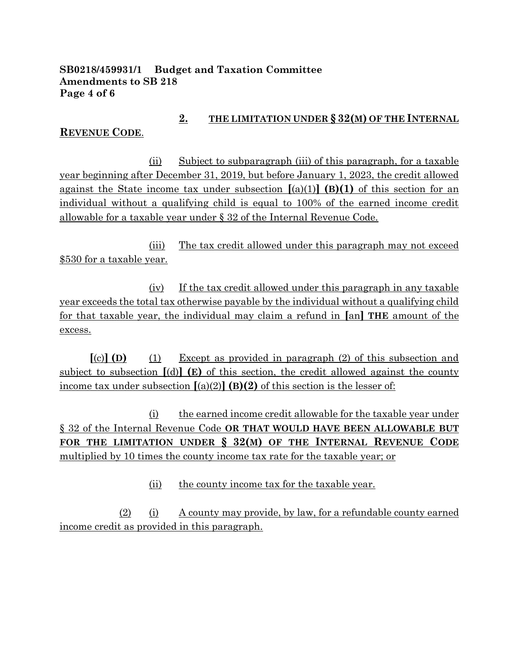## **SB0218/459931/1 Budget and Taxation Committee Amendments to SB 218 Page 4 of 6**

## **2. THE LIMITATION UNDER § 32(M) OF THE INTERNAL**

## **REVENUE CODE**.

(ii) Subject to subparagraph (iii) of this paragraph, for a taxable year beginning after December 31, 2019, but before January 1, 2023, the credit allowed against the State income tax under subsection  $[(a)(1)]$  (B)(1) of this section for an individual without a qualifying child is equal to 100% of the earned income credit allowable for a taxable year under § 32 of the Internal Revenue Code.

(iii) The tax credit allowed under this paragraph may not exceed \$530 for a taxable year.

(iv) If the tax credit allowed under this paragraph in any taxable year exceeds the total tax otherwise payable by the individual without a qualifying child for that taxable year, the individual may claim a refund in **[**an**] THE** amount of the excess.

**[**(c)**] (D)** (1) Except as provided in paragraph (2) of this subsection and subject to subsection **[**(d)**] (E)** of this section, the credit allowed against the county income tax under subsection  $[(a)(2)]$  **(B)(2)** of this section is the lesser of:

(i) the earned income credit allowable for the taxable year under § 32 of the Internal Revenue Code **OR THAT WOULD HAVE BEEN ALLOWABLE BUT FOR THE LIMITATION UNDER § 32(M) OF THE INTERNAL REVENUE CODE** multiplied by 10 times the county income tax rate for the taxable year; or

(ii) the county income tax for the taxable year.

(2) (i) A county may provide, by law, for a refundable county earned income credit as provided in this paragraph.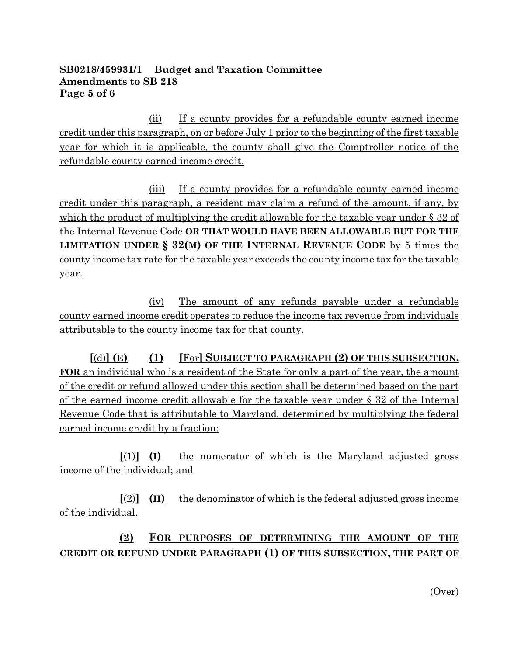## **SB0218/459931/1 Budget and Taxation Committee Amendments to SB 218 Page 5 of 6**

(ii) If a county provides for a refundable county earned income credit under this paragraph, on or before July 1 prior to the beginning of the first taxable year for which it is applicable, the county shall give the Comptroller notice of the refundable county earned income credit.

(iii) If a county provides for a refundable county earned income credit under this paragraph, a resident may claim a refund of the amount, if any, by which the product of multiplying the credit allowable for the taxable year under § 32 of the Internal Revenue Code **OR THAT WOULD HAVE BEEN ALLOWABLE BUT FOR THE LIMITATION UNDER § 32(M) OF THE INTERNAL REVENUE CODE** by 5 times the county income tax rate for the taxable year exceeds the county income tax for the taxable year.

(iv) The amount of any refunds payable under a refundable county earned income credit operates to reduce the income tax revenue from individuals attributable to the county income tax for that county.

**[**(d)**] (E) (1) [**For**] SUBJECT TO PARAGRAPH (2) OF THIS SUBSECTION, FOR** an individual who is a resident of the State for only a part of the year, the amount of the credit or refund allowed under this section shall be determined based on the part of the earned income credit allowable for the taxable year under § 32 of the Internal Revenue Code that is attributable to Maryland, determined by multiplying the federal earned income credit by a fraction:

**[**(1)**] (I)** the numerator of which is the Maryland adjusted gross income of the individual; and

**[**(2)**] (II)** the denominator of which is the federal adjusted gross income of the individual.

# **(2) FOR PURPOSES OF DETERMINING THE AMOUNT OF THE CREDIT OR REFUND UNDER PARAGRAPH (1) OF THIS SUBSECTION, THE PART OF**

(Over)